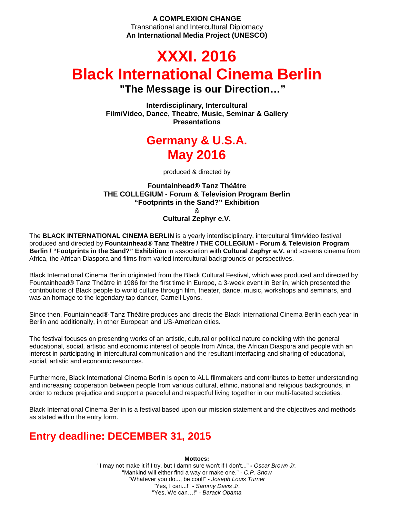### **A COMPLEXION CHANGE** Transnational and Intercultural Diplomacy **An International Media Project (UNESCO)**

# **XXXI. 2016 Black International Cinema Berlin "The Message is our Direction…"**

**Interdisciplinary, Intercultural Film/Video, Dance, Theatre, Music, Seminar & Gallery Presentations** 

# **Germany & U.S.A. May 2016**

produced & directed by

### **Fountainhead® Tanz Théâtre THE COLLEGIUM - Forum & Television Program Berlin "Footprints in the Sand?" Exhibition**  & **Cultural Zephyr e.V.**

The **BLACK INTERNATIONAL CINEMA BERLIN** is a yearly interdisciplinary, intercultural film/video festival produced and directed by **Fountainhead® Tanz Théâtre / THE COLLEGIUM - Forum & Television Program Berlin / "Footprints in the Sand?" Exhibition** in association with **Cultural Zephyr e.V.** and screens cinema from Africa, the African Diaspora and films from varied intercultural backgrounds or perspectives.

Black International Cinema Berlin originated from the Black Cultural Festival, which was produced and directed by Fountainhead® Tanz Théâtre in 1986 for the first time in Europe, a 3-week event in Berlin, which presented the contributions of Black people to world culture through film, theater, dance, music, workshops and seminars, and was an homage to the legendary tap dancer, Carnell Lyons.

Since then, Fountainhead® Tanz Théâtre produces and directs the Black International Cinema Berlin each year in Berlin and additionally, in other European and US-American cities.

The festival focuses on presenting works of an artistic, cultural or political nature coinciding with the general educational, social, artistic and economic interest of people from Africa, the African Diaspora and people with an interest in participating in intercultural communication and the resultant interfacing and sharing of educational, social, artistic and economic resources.

Furthermore, Black International Cinema Berlin is open to ALL filmmakers and contributes to better understanding and increasing cooperation between people from various cultural, ethnic, national and religious backgrounds, in order to reduce prejudice and support a peaceful and respectful living together in our multi-faceted societies.

Black International Cinema Berlin is a festival based upon our mission statement and the objectives and methods as stated within the entry form.

# **Entry deadline: DECEMBER 31, 2015**

**Mottoes:** 

"I may not make it if I try, but I damn sure won't if I don't..." **-** Oscar Brown Jr. "Mankind will either find a way or make one." - C.P. Snow "Whatever you do..., be cool!" - Joseph Louis Turner "Yes, I can...!" - Sammy Davis Jr. "Yes, We can...!" - Barack Obama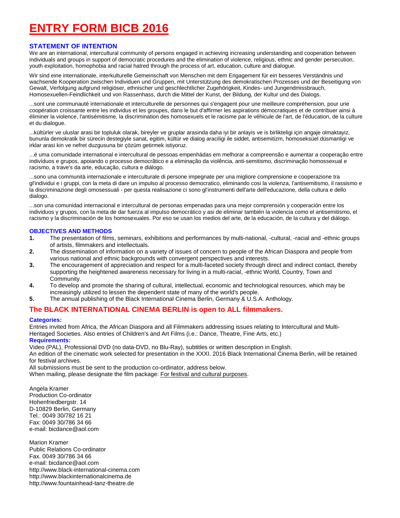# **ENTRY FORM BICB 2016**

#### **STATEMENT OF INTENTION**

We are an international, intercultural community of persons engaged in achieving increasing understanding and cooperation between individuals and groups in support of democratic procedures and the elimination of violence, religious, ethnic and gender persecution, youth exploitation, homophobia and racial hatred through the process of art, education, culture and dialogue.

Wir sind eine internationale, interkulturelle Gemeinschaft von Menschen mit dem Engagement für ein besseres Verständnis und wachsende Kooperation zwischen Individuen und Gruppen, mit Unterstützung des demokratischen Prozesses und der Beseitigung von Gewalt, Verfolgung aufgrund religiöser, ethnischer und geschlechtlicher Zugehörigkeit, Kindes- und Jungendmissbrauch, Homosexuellen-Feindlichkeit und von Rassenhass, durch die Mittel der Kunst, der Bildung, der Kultur und des Dialogs.

...sont une communauté internationale et interculturelle de personnes qui s'engagent pour une meilleure compréhension, pour une coopération croissante entre les individus et les groupes, dans le but d'affirmer les aspirations démocratiques et de contribuer ainsi à éliminer la violence, l'antisémitisme, la discrimination des homosexuels et le racisme par le véhicule de l'art, de l'éducation, de la culture et du dialogue.

...kültürler ve uluslar arasi bir topluluk olarak, bireyler ve gruplar arasinda daha iyi bir anlayis ve is birlikteligi için angaje olmaktayiz, bununla demokratik bir sürecin destegiyle sanat, egitim, kültür ve dialog araciligi ile siddet, antisemitizm, homoseksüel düsmanligi ve irklar arasi kin ve nefret duzgusuna bir çözüm getirmek istiyoruz.

...é uma comunidade international e intercultural de pessoas empenhádas em melhorar a compreensão e aumentar a cooperação entre indivíduos e grupos, apoiando o processo democrãtico e a eliminação da violência, anti-semitismo, discriminação homossexual e racismo, a trave's da arte, educação, cultura e diálogo.

...sono una communità internazionale e interculturale di persone impegnate per una migliore comprensione e cooperazione tra gl'individui e i gruppi, con la meta di dare un impulso al processo democratico, eliminando cosi la violenza, l'antisemitismo, il rassismo e la discriminazione degli omosessuali - per questa realisazione ci sono gl'instrumenti dell'arte dell'educazione, della cultura e dello dialogo.

...son una comunidad internacional e intercultural de personas empenadas para una mejor comprensión y cooperación entre los individuos y grupos, con la meta de dar fuerza al impulso democrático y asi de eliminar también la violencia como el antisemitismo, el racismo y la discriminación de los homosexuales. Por eso se usan los medios del arte, de la educación, de la cultura y del diálogo.

#### **OBJECTIVES AND METHODS**

- **1.** The presentation of films, seminars, exhibitions and performances by multi-national, -cultural, -racial and -ethnic groups of artists, filmmakers and intellectuals.<br>2. The dissemination of information on a
- **2.** The dissemination of information on a variety of issues of concern to people of the African Diaspora and people from various national and ethnic backgrounds with convergent perspectives and interests.
- **3.** The encouragement of appreciation and respect for a multi-faceted society through direct and indirect contact, thereby supporting the heightened awareness necessary for living in a multi-racial, -ethnic World, Country, Town and Community.
- **4.** To develop and promote the sharing of cultural, intellectual, economic and technological resources, which may be increasingly utilized to lessen the dependent state of many of the world's people.
- **5.** The annual publishing of the Black International Cinema Berlin, Germany & U.S.A. Anthology.

### **The BLACK INTERNATIONAL CINEMA BERLIN is open to ALL filmmakers.**

#### **Categories:**

Entries invited from Africa, the African Diaspora and all Filmmakers addressing issues relating to Intercultural and Multi-Heritaged Societies. Also entries of Children's and Art Films (i.e.: Dance, Theatre, Fine Arts, etc.) **Requirements:** 

Video (PAL), Professional DVD (no data-DVD, no Blu-Ray), subtitles or written description in English.

An edition of the cinematic work selected for presentation in the XXXI. 2016 Black International Cinema Berlin, will be retained for festival archives.

All submissions must be sent to the production co-ordinator, address below.

When mailing, please designate the film package: For festival and cultural purposes.

Angela Kramer Production Co-ordinator Hohenfriedbergstr. 14 D-10829 Berlin, Germany Tel.: 0049 30/782 16 21 Fax: 0049 30/786 34 66 e-mail: bicdance@aol.com

Marion Kramer Public Relations Co-ordinator Fax. 0049 30/786 34 66 e-mail: bicdance@aol.com http://www.black-international-cinema.com http://www.blackinternationalcinema.de http://www.fountainhead-tanz-theatre.de